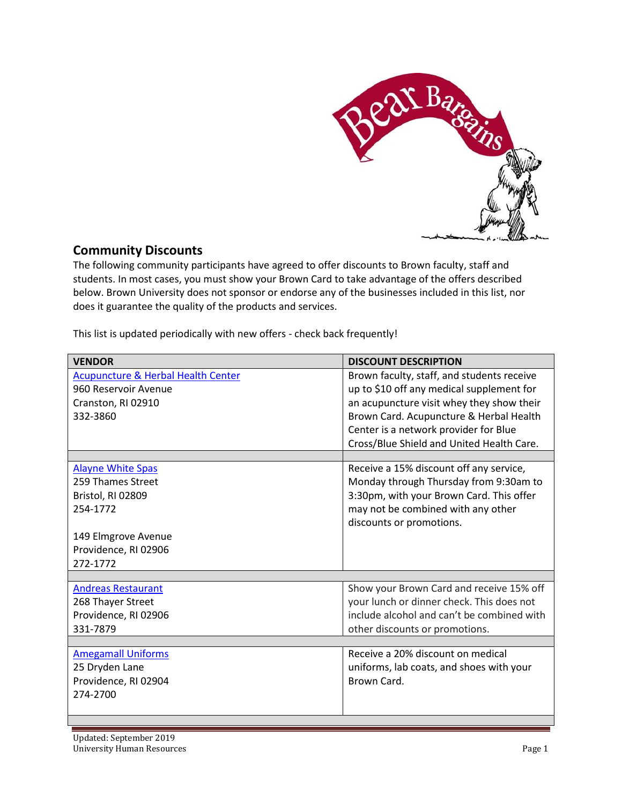

## **Community Discounts**

The following community participants have agreed to offer discounts to Brown faculty, staff and students. In most cases, you must show your Brown Card to take advantage of the offers described below. Brown University does not sponsor or endorse any of the businesses included in this list, nor does it guarantee the quality of the products and services.

This list is updated periodically with new offers - check back frequently!

| <b>Acupuncture &amp; Herbal Health Center</b><br>Brown faculty, staff, and students receive<br>up to \$10 off any medical supplement for<br>960 Reservoir Avenue<br>an acupuncture visit whey they show their<br>Cranston, RI 02910<br>Brown Card. Acupuncture & Herbal Health<br>332-3860<br>Center is a network provider for Blue<br>Cross/Blue Shield and United Health Care.<br>Receive a 15% discount off any service,<br><b>Alayne White Spas</b><br>259 Thames Street<br>Monday through Thursday from 9:30am to<br>3:30pm, with your Brown Card. This offer<br>Bristol, RI 02809<br>may not be combined with any other<br>254-1772<br>discounts or promotions.<br>149 Elmgrove Avenue<br>Providence, RI 02906<br>272-1772<br>Show your Brown Card and receive 15% off<br><b>Andreas Restaurant</b><br>your lunch or dinner check. This does not<br>268 Thayer Street<br>include alcohol and can't be combined with<br>Providence, RI 02906<br>331-7879<br>other discounts or promotions.<br>Receive a 20% discount on medical<br><b>Amegamall Uniforms</b><br>25 Dryden Lane<br>uniforms, lab coats, and shoes with your<br>Brown Card.<br>Providence, RI 02904<br>274-2700 | <b>VENDOR</b> | <b>DISCOUNT DESCRIPTION</b> |
|------------------------------------------------------------------------------------------------------------------------------------------------------------------------------------------------------------------------------------------------------------------------------------------------------------------------------------------------------------------------------------------------------------------------------------------------------------------------------------------------------------------------------------------------------------------------------------------------------------------------------------------------------------------------------------------------------------------------------------------------------------------------------------------------------------------------------------------------------------------------------------------------------------------------------------------------------------------------------------------------------------------------------------------------------------------------------------------------------------------------------------------------------------------------------------|---------------|-----------------------------|
|                                                                                                                                                                                                                                                                                                                                                                                                                                                                                                                                                                                                                                                                                                                                                                                                                                                                                                                                                                                                                                                                                                                                                                                    |               |                             |
|                                                                                                                                                                                                                                                                                                                                                                                                                                                                                                                                                                                                                                                                                                                                                                                                                                                                                                                                                                                                                                                                                                                                                                                    |               |                             |
|                                                                                                                                                                                                                                                                                                                                                                                                                                                                                                                                                                                                                                                                                                                                                                                                                                                                                                                                                                                                                                                                                                                                                                                    |               |                             |
|                                                                                                                                                                                                                                                                                                                                                                                                                                                                                                                                                                                                                                                                                                                                                                                                                                                                                                                                                                                                                                                                                                                                                                                    |               |                             |
|                                                                                                                                                                                                                                                                                                                                                                                                                                                                                                                                                                                                                                                                                                                                                                                                                                                                                                                                                                                                                                                                                                                                                                                    |               |                             |
|                                                                                                                                                                                                                                                                                                                                                                                                                                                                                                                                                                                                                                                                                                                                                                                                                                                                                                                                                                                                                                                                                                                                                                                    |               |                             |
|                                                                                                                                                                                                                                                                                                                                                                                                                                                                                                                                                                                                                                                                                                                                                                                                                                                                                                                                                                                                                                                                                                                                                                                    |               |                             |
|                                                                                                                                                                                                                                                                                                                                                                                                                                                                                                                                                                                                                                                                                                                                                                                                                                                                                                                                                                                                                                                                                                                                                                                    |               |                             |
|                                                                                                                                                                                                                                                                                                                                                                                                                                                                                                                                                                                                                                                                                                                                                                                                                                                                                                                                                                                                                                                                                                                                                                                    |               |                             |
|                                                                                                                                                                                                                                                                                                                                                                                                                                                                                                                                                                                                                                                                                                                                                                                                                                                                                                                                                                                                                                                                                                                                                                                    |               |                             |
|                                                                                                                                                                                                                                                                                                                                                                                                                                                                                                                                                                                                                                                                                                                                                                                                                                                                                                                                                                                                                                                                                                                                                                                    |               |                             |
|                                                                                                                                                                                                                                                                                                                                                                                                                                                                                                                                                                                                                                                                                                                                                                                                                                                                                                                                                                                                                                                                                                                                                                                    |               |                             |
|                                                                                                                                                                                                                                                                                                                                                                                                                                                                                                                                                                                                                                                                                                                                                                                                                                                                                                                                                                                                                                                                                                                                                                                    |               |                             |
|                                                                                                                                                                                                                                                                                                                                                                                                                                                                                                                                                                                                                                                                                                                                                                                                                                                                                                                                                                                                                                                                                                                                                                                    |               |                             |
|                                                                                                                                                                                                                                                                                                                                                                                                                                                                                                                                                                                                                                                                                                                                                                                                                                                                                                                                                                                                                                                                                                                                                                                    |               |                             |
|                                                                                                                                                                                                                                                                                                                                                                                                                                                                                                                                                                                                                                                                                                                                                                                                                                                                                                                                                                                                                                                                                                                                                                                    |               |                             |
|                                                                                                                                                                                                                                                                                                                                                                                                                                                                                                                                                                                                                                                                                                                                                                                                                                                                                                                                                                                                                                                                                                                                                                                    |               |                             |
|                                                                                                                                                                                                                                                                                                                                                                                                                                                                                                                                                                                                                                                                                                                                                                                                                                                                                                                                                                                                                                                                                                                                                                                    |               |                             |
|                                                                                                                                                                                                                                                                                                                                                                                                                                                                                                                                                                                                                                                                                                                                                                                                                                                                                                                                                                                                                                                                                                                                                                                    |               |                             |
|                                                                                                                                                                                                                                                                                                                                                                                                                                                                                                                                                                                                                                                                                                                                                                                                                                                                                                                                                                                                                                                                                                                                                                                    |               |                             |
|                                                                                                                                                                                                                                                                                                                                                                                                                                                                                                                                                                                                                                                                                                                                                                                                                                                                                                                                                                                                                                                                                                                                                                                    |               |                             |
|                                                                                                                                                                                                                                                                                                                                                                                                                                                                                                                                                                                                                                                                                                                                                                                                                                                                                                                                                                                                                                                                                                                                                                                    |               |                             |
|                                                                                                                                                                                                                                                                                                                                                                                                                                                                                                                                                                                                                                                                                                                                                                                                                                                                                                                                                                                                                                                                                                                                                                                    |               |                             |
|                                                                                                                                                                                                                                                                                                                                                                                                                                                                                                                                                                                                                                                                                                                                                                                                                                                                                                                                                                                                                                                                                                                                                                                    |               |                             |
|                                                                                                                                                                                                                                                                                                                                                                                                                                                                                                                                                                                                                                                                                                                                                                                                                                                                                                                                                                                                                                                                                                                                                                                    |               |                             |
|                                                                                                                                                                                                                                                                                                                                                                                                                                                                                                                                                                                                                                                                                                                                                                                                                                                                                                                                                                                                                                                                                                                                                                                    |               |                             |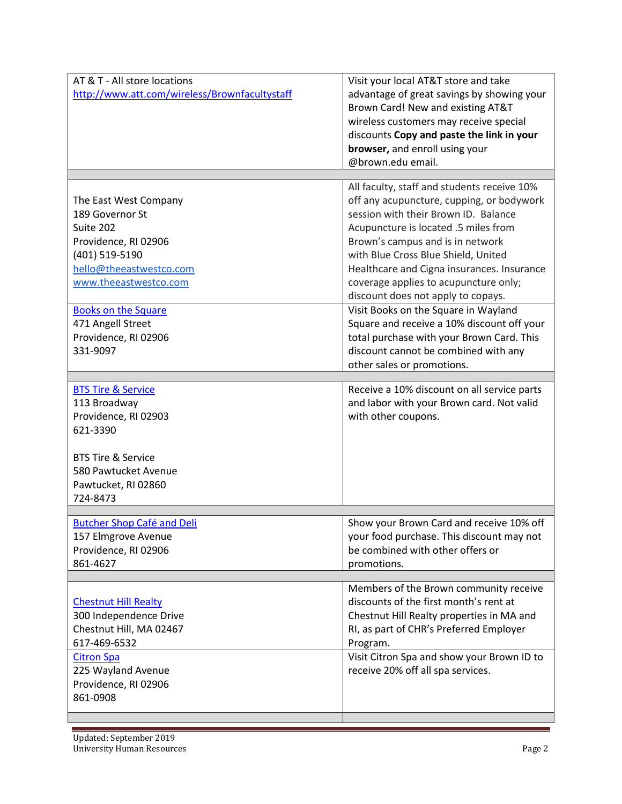| AT & T - All store locations                  | Visit your local AT&T store and take        |
|-----------------------------------------------|---------------------------------------------|
| http://www.att.com/wireless/Brownfacultystaff | advantage of great savings by showing your  |
|                                               | Brown Card! New and existing AT&T           |
|                                               | wireless customers may receive special      |
|                                               | discounts Copy and paste the link in your   |
|                                               | browser, and enroll using your              |
|                                               | @brown.edu email.                           |
|                                               |                                             |
|                                               | All faculty, staff and students receive 10% |
| The East West Company                         | off any acupuncture, cupping, or bodywork   |
| 189 Governor St                               | session with their Brown ID. Balance        |
| Suite 202                                     | Acupuncture is located .5 miles from        |
| Providence, RI 02906                          | Brown's campus and is in network            |
| (401) 519-5190                                | with Blue Cross Blue Shield, United         |
| hello@theeastwestco.com                       | Healthcare and Cigna insurances. Insurance  |
| www.theeastwestco.com                         | coverage applies to acupuncture only;       |
|                                               | discount does not apply to copays.          |
| <b>Books on the Square</b>                    | Visit Books on the Square in Wayland        |
| 471 Angell Street                             | Square and receive a 10% discount off your  |
| Providence, RI 02906                          | total purchase with your Brown Card. This   |
| 331-9097                                      | discount cannot be combined with any        |
|                                               | other sales or promotions.                  |
|                                               |                                             |
| <b>BTS Tire &amp; Service</b>                 | Receive a 10% discount on all service parts |
| 113 Broadway                                  | and labor with your Brown card. Not valid   |
| Providence, RI 02903                          | with other coupons.                         |
| 621-3390                                      |                                             |
| <b>BTS Tire &amp; Service</b>                 |                                             |
| 580 Pawtucket Avenue                          |                                             |
| Pawtucket, RI 02860                           |                                             |
| 724-8473                                      |                                             |
|                                               |                                             |
| <b>Butcher Shop Café and Deli</b>             | Show your Brown Card and receive 10% off    |
| 157 Elmgrove Avenue                           | your food purchase. This discount may not   |
| Providence, RI 02906                          | be combined with other offers or            |
| 861-4627                                      | promotions.                                 |
|                                               |                                             |
|                                               | Members of the Brown community receive      |
| <b>Chestnut Hill Realty</b>                   |                                             |
|                                               | discounts of the first month's rent at      |
| 300 Independence Drive                        | Chestnut Hill Realty properties in MA and   |
| Chestnut Hill, MA 02467                       | RI, as part of CHR's Preferred Employer     |
| 617-469-6532                                  | Program.                                    |
| <b>Citron Spa</b>                             | Visit Citron Spa and show your Brown ID to  |
| 225 Wayland Avenue                            | receive 20% off all spa services.           |
| Providence, RI 02906                          |                                             |
| 861-0908                                      |                                             |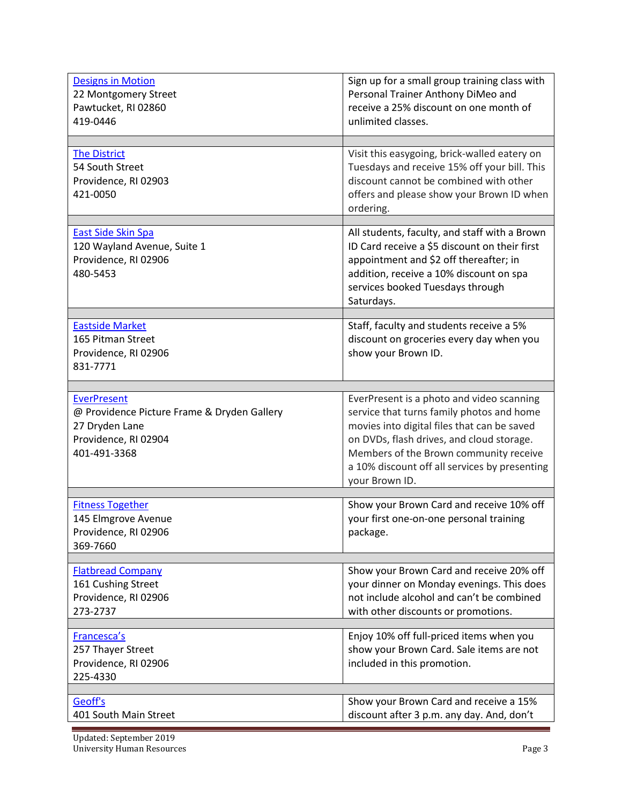| <b>Designs in Motion</b><br>22 Montgomery Street<br>Pawtucket, RI 02860<br>419-0446                                         | Sign up for a small group training class with<br>Personal Trainer Anthony DiMeo and<br>receive a 25% discount on one month of<br>unlimited classes.                                                                                                                                             |
|-----------------------------------------------------------------------------------------------------------------------------|-------------------------------------------------------------------------------------------------------------------------------------------------------------------------------------------------------------------------------------------------------------------------------------------------|
| <b>The District</b><br>54 South Street<br>Providence, RI 02903<br>421-0050                                                  | Visit this easygoing, brick-walled eatery on<br>Tuesdays and receive 15% off your bill. This<br>discount cannot be combined with other<br>offers and please show your Brown ID when<br>ordering.                                                                                                |
| East Side Skin Spa<br>120 Wayland Avenue, Suite 1<br>Providence, RI 02906<br>480-5453                                       | All students, faculty, and staff with a Brown<br>ID Card receive a \$5 discount on their first<br>appointment and \$2 off thereafter; in<br>addition, receive a 10% discount on spa<br>services booked Tuesdays through<br>Saturdays.                                                           |
| <b>Eastside Market</b><br>165 Pitman Street<br>Providence, RI 02906<br>831-7771                                             | Staff, faculty and students receive a 5%<br>discount on groceries every day when you<br>show your Brown ID.                                                                                                                                                                                     |
| <b>EverPresent</b><br>@ Providence Picture Frame & Dryden Gallery<br>27 Dryden Lane<br>Providence, RI 02904<br>401-491-3368 | EverPresent is a photo and video scanning<br>service that turns family photos and home<br>movies into digital files that can be saved<br>on DVDs, flash drives, and cloud storage.<br>Members of the Brown community receive<br>a 10% discount off all services by presenting<br>your Brown ID. |
| <b>Fitness Together</b><br>145 Elmgrove Avenue<br>Providence, RI 02906<br>369-7660                                          | Show your Brown Card and receive 10% off<br>your first one-on-one personal training<br>package.                                                                                                                                                                                                 |
| <b>Flatbread Company</b><br>161 Cushing Street<br>Providence, RI 02906<br>273-2737                                          | Show your Brown Card and receive 20% off<br>your dinner on Monday evenings. This does<br>not include alcohol and can't be combined<br>with other discounts or promotions.                                                                                                                       |
| Francesca's<br>257 Thayer Street<br>Providence, RI 02906<br>225-4330                                                        | Enjoy 10% off full-priced items when you<br>show your Brown Card. Sale items are not<br>included in this promotion.                                                                                                                                                                             |
| Geoff's<br>401 South Main Street                                                                                            | Show your Brown Card and receive a 15%<br>discount after 3 p.m. any day. And, don't                                                                                                                                                                                                             |

Updated: September 2019 University Human Resources Page 3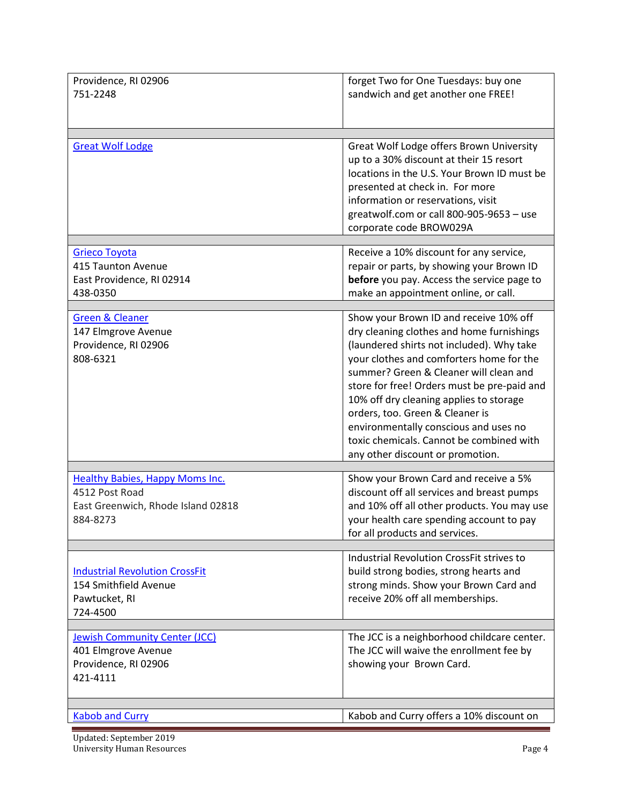| Providence, RI 02906                   | forget Two for One Tuesdays: buy one        |
|----------------------------------------|---------------------------------------------|
| 751-2248                               | sandwich and get another one FREE!          |
|                                        |                                             |
|                                        |                                             |
|                                        |                                             |
| <b>Great Wolf Lodge</b>                | Great Wolf Lodge offers Brown University    |
|                                        | up to a 30% discount at their 15 resort     |
|                                        | locations in the U.S. Your Brown ID must be |
|                                        | presented at check in. For more             |
|                                        | information or reservations, visit          |
|                                        | greatwolf.com or call 800-905-9653 - use    |
|                                        | corporate code BROW029A                     |
|                                        |                                             |
| <b>Grieco Toyota</b>                   | Receive a 10% discount for any service,     |
| 415 Taunton Avenue                     | repair or parts, by showing your Brown ID   |
| East Providence, RI 02914              | before you pay. Access the service page to  |
| 438-0350                               | make an appointment online, or call.        |
|                                        |                                             |
| <b>Green &amp; Cleaner</b>             | Show your Brown ID and receive 10% off      |
| 147 Elmgrove Avenue                    | dry cleaning clothes and home furnishings   |
| Providence, RI 02906                   | (laundered shirts not included). Why take   |
| 808-6321                               | your clothes and comforters home for the    |
|                                        | summer? Green & Cleaner will clean and      |
|                                        | store for free! Orders must be pre-paid and |
|                                        | 10% off dry cleaning applies to storage     |
|                                        | orders, too. Green & Cleaner is             |
|                                        | environmentally conscious and uses no       |
|                                        | toxic chemicals. Cannot be combined with    |
|                                        | any other discount or promotion.            |
|                                        |                                             |
| <b>Healthy Babies, Happy Moms Inc.</b> | Show your Brown Card and receive a 5%       |
| 4512 Post Road                         | discount off all services and breast pumps  |
| East Greenwich, Rhode Island 02818     | and 10% off all other products. You may use |
| 884-8273                               | your health care spending account to pay    |
|                                        | for all products and services.              |
|                                        |                                             |
|                                        | Industrial Revolution CrossFit strives to   |
| <b>Industrial Revolution CrossFit</b>  | build strong bodies, strong hearts and      |
| 154 Smithfield Avenue                  | strong minds. Show your Brown Card and      |
| Pawtucket, RI                          | receive 20% off all memberships.            |
| 724-4500                               |                                             |
|                                        |                                             |
| <b>Jewish Community Center (JCC)</b>   | The JCC is a neighborhood childcare center. |
| 401 Elmgrove Avenue                    | The JCC will waive the enrollment fee by    |
| Providence, RI 02906                   | showing your Brown Card.                    |
| 421-4111                               |                                             |
|                                        |                                             |
|                                        |                                             |
| <b>Kabob and Curry</b>                 | Kabob and Curry offers a 10% discount on    |

Updated: September 2019 University Human Resources Page 4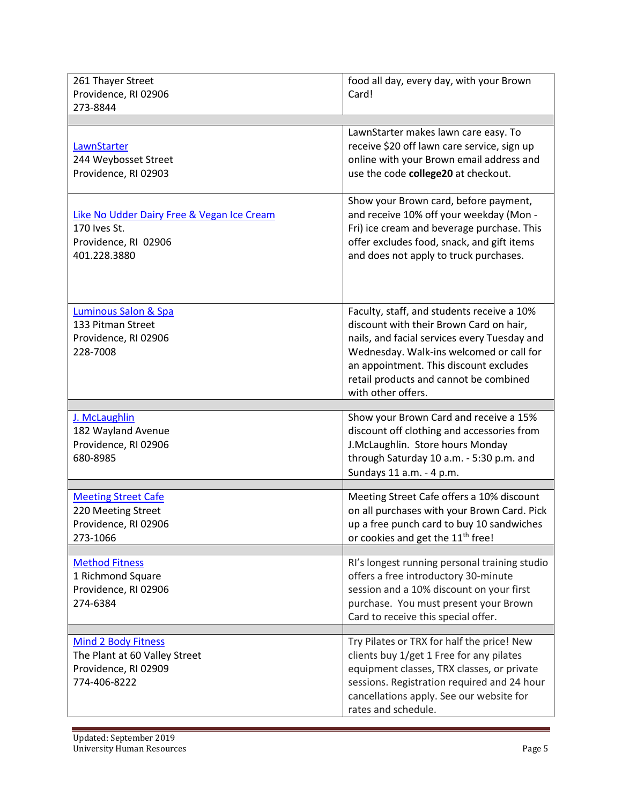| 261 Thayer Street<br>Providence, RI 02906<br>273-8844                                               | food all day, every day, with your Brown<br>Card!                                                                                                                                                                                                                                           |
|-----------------------------------------------------------------------------------------------------|---------------------------------------------------------------------------------------------------------------------------------------------------------------------------------------------------------------------------------------------------------------------------------------------|
|                                                                                                     |                                                                                                                                                                                                                                                                                             |
| LawnStarter<br>244 Weybosset Street<br>Providence, RI 02903                                         | LawnStarter makes lawn care easy. To<br>receive \$20 off lawn care service, sign up<br>online with your Brown email address and<br>use the code college20 at checkout.                                                                                                                      |
| Like No Udder Dairy Free & Vegan Ice Cream<br>170 Ives St.<br>Providence, RI 02906<br>401.228.3880  | Show your Brown card, before payment,<br>and receive 10% off your weekday (Mon -<br>Fri) ice cream and beverage purchase. This<br>offer excludes food, snack, and gift items<br>and does not apply to truck purchases.                                                                      |
| Luminous Salon & Spa<br>133 Pitman Street<br>Providence, RI 02906<br>228-7008                       | Faculty, staff, and students receive a 10%<br>discount with their Brown Card on hair,<br>nails, and facial services every Tuesday and<br>Wednesday. Walk-ins welcomed or call for<br>an appointment. This discount excludes<br>retail products and cannot be combined<br>with other offers. |
| J. McLaughlin<br>182 Wayland Avenue<br>Providence, RI 02906<br>680-8985                             | Show your Brown Card and receive a 15%<br>discount off clothing and accessories from<br>J.McLaughlin. Store hours Monday<br>through Saturday 10 a.m. - 5:30 p.m. and<br>Sundays 11 a.m. - 4 p.m.                                                                                            |
| <b>Meeting Street Cafe</b><br>220 Meeting Street<br>Providence, RI 02906<br>273-1066                | Meeting Street Cafe offers a 10% discount<br>on all purchases with your Brown Card. Pick<br>up a free punch card to buy 10 sandwiches<br>or cookies and get the 11 <sup>th</sup> free!                                                                                                      |
| <b>Method Fitness</b><br>1 Richmond Square<br>Providence, RI 02906<br>274-6384                      | RI's longest running personal training studio<br>offers a free introductory 30-minute<br>session and a 10% discount on your first<br>purchase. You must present your Brown<br>Card to receive this special offer.                                                                           |
| <b>Mind 2 Body Fitness</b><br>The Plant at 60 Valley Street<br>Providence, RI 02909<br>774-406-8222 | Try Pilates or TRX for half the price! New<br>clients buy 1/get 1 Free for any pilates<br>equipment classes, TRX classes, or private<br>sessions. Registration required and 24 hour<br>cancellations apply. See our website for<br>rates and schedule.                                      |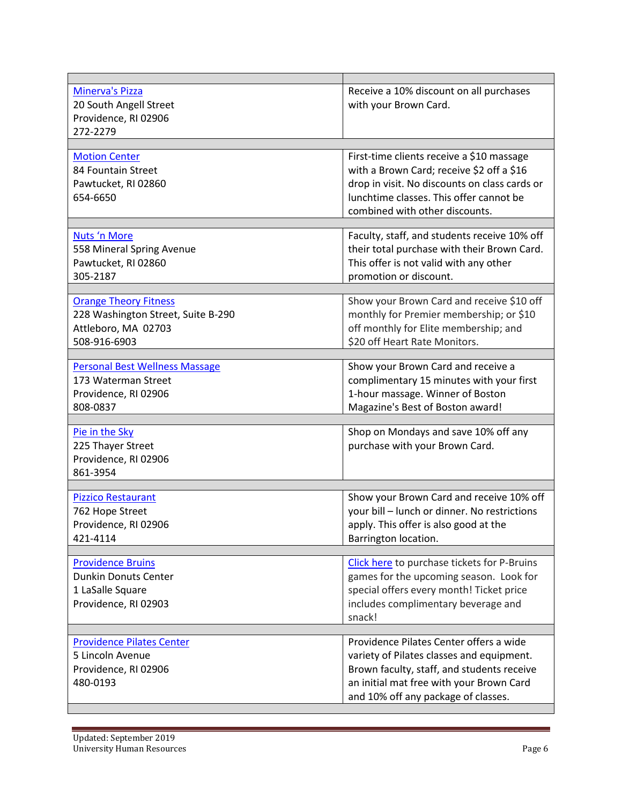| <b>Minerva's Pizza</b><br>20 South Angell Street<br>Providence, RI 02906<br>272-2279                      | Receive a 10% discount on all purchases<br>with your Brown Card.                                                                                                                                                      |
|-----------------------------------------------------------------------------------------------------------|-----------------------------------------------------------------------------------------------------------------------------------------------------------------------------------------------------------------------|
|                                                                                                           |                                                                                                                                                                                                                       |
| <b>Motion Center</b><br>84 Fountain Street<br>Pawtucket, RI 02860<br>654-6650                             | First-time clients receive a \$10 massage<br>with a Brown Card; receive \$2 off a \$16<br>drop in visit. No discounts on class cards or<br>lunchtime classes. This offer cannot be<br>combined with other discounts.  |
| Nuts 'n More<br>558 Mineral Spring Avenue<br>Pawtucket, RI 02860<br>305-2187                              | Faculty, staff, and students receive 10% off<br>their total purchase with their Brown Card.<br>This offer is not valid with any other<br>promotion or discount.                                                       |
| <b>Orange Theory Fitness</b><br>228 Washington Street, Suite B-290<br>Attleboro, MA 02703<br>508-916-6903 | Show your Brown Card and receive \$10 off<br>monthly for Premier membership; or \$10<br>off monthly for Elite membership; and<br>\$20 off Heart Rate Monitors.                                                        |
| <b>Personal Best Wellness Massage</b><br>173 Waterman Street<br>Providence, RI 02906<br>808-0837          | Show your Brown Card and receive a<br>complimentary 15 minutes with your first<br>1-hour massage. Winner of Boston<br>Magazine's Best of Boston award!                                                                |
|                                                                                                           |                                                                                                                                                                                                                       |
| Pie in the Sky<br>225 Thayer Street<br>Providence, RI 02906<br>861-3954                                   | Shop on Mondays and save 10% off any<br>purchase with your Brown Card.                                                                                                                                                |
| <b>Pizzico Restaurant</b><br>762 Hope Street<br>Providence, RI 02906<br>421-4114                          | Show your Brown Card and receive 10% off<br>your bill - lunch or dinner. No restrictions<br>apply. This offer is also good at the<br>Barrington location.                                                             |
| <b>Providence Bruins</b><br><b>Dunkin Donuts Center</b><br>1 LaSalle Square<br>Providence, RI 02903       | Click here to purchase tickets for P-Bruins<br>games for the upcoming season. Look for<br>special offers every month! Ticket price<br>includes complimentary beverage and<br>snack!                                   |
| <b>Providence Pilates Center</b><br>5 Lincoln Avenue<br>Providence, RI 02906<br>480-0193                  | Providence Pilates Center offers a wide<br>variety of Pilates classes and equipment.<br>Brown faculty, staff, and students receive<br>an initial mat free with your Brown Card<br>and 10% off any package of classes. |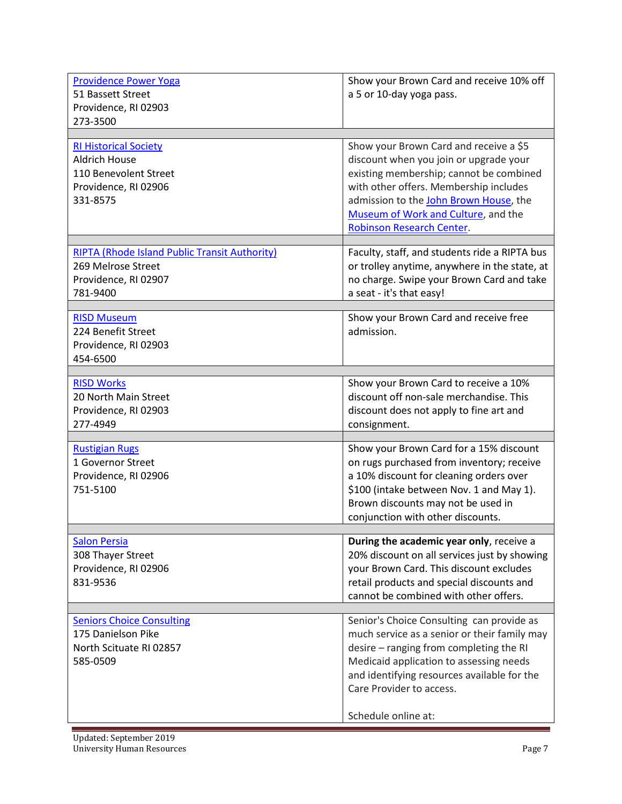| <b>Providence Power Yoga</b><br>51 Bassett Street<br>Providence, RI 02903<br>273-3500                             | Show your Brown Card and receive 10% off<br>a 5 or 10-day yoga pass.                                                                                                                                                                                                                |
|-------------------------------------------------------------------------------------------------------------------|-------------------------------------------------------------------------------------------------------------------------------------------------------------------------------------------------------------------------------------------------------------------------------------|
| <b>RI Historical Society</b><br><b>Aldrich House</b><br>110 Benevolent Street<br>Providence, RI 02906<br>331-8575 | Show your Brown Card and receive a \$5<br>discount when you join or upgrade your<br>existing membership; cannot be combined<br>with other offers. Membership includes<br>admission to the John Brown House, the<br>Museum of Work and Culture, and the<br>Robinson Research Center. |
| <b>RIPTA (Rhode Island Public Transit Authority)</b><br>269 Melrose Street<br>Providence, RI 02907<br>781-9400    | Faculty, staff, and students ride a RIPTA bus<br>or trolley anytime, anywhere in the state, at<br>no charge. Swipe your Brown Card and take<br>a seat - it's that easy!                                                                                                             |
| <b>RISD Museum</b><br>224 Benefit Street<br>Providence, RI 02903<br>454-6500                                      | Show your Brown Card and receive free<br>admission.                                                                                                                                                                                                                                 |
| <b>RISD Works</b><br>20 North Main Street<br>Providence, RI 02903<br>277-4949                                     | Show your Brown Card to receive a 10%<br>discount off non-sale merchandise. This<br>discount does not apply to fine art and<br>consignment.                                                                                                                                         |
| <b>Rustigian Rugs</b><br>1 Governor Street<br>Providence, RI 02906<br>751-5100                                    | Show your Brown Card for a 15% discount<br>on rugs purchased from inventory; receive<br>a 10% discount for cleaning orders over<br>\$100 (intake between Nov. 1 and May 1).<br>Brown discounts may not be used in<br>conjunction with other discounts.                              |
| <b>Salon Persia</b><br>308 Thayer Street<br>Providence, RI 02906<br>831-9536                                      | During the academic year only, receive a<br>20% discount on all services just by showing<br>your Brown Card. This discount excludes<br>retail products and special discounts and<br>cannot be combined with other offers.                                                           |
| <b>Seniors Choice Consulting</b><br>175 Danielson Pike<br>North Scituate RI 02857<br>585-0509                     | Senior's Choice Consulting can provide as<br>much service as a senior or their family may<br>desire - ranging from completing the RI<br>Medicaid application to assessing needs<br>and identifying resources available for the<br>Care Provider to access.<br>Schedule online at:   |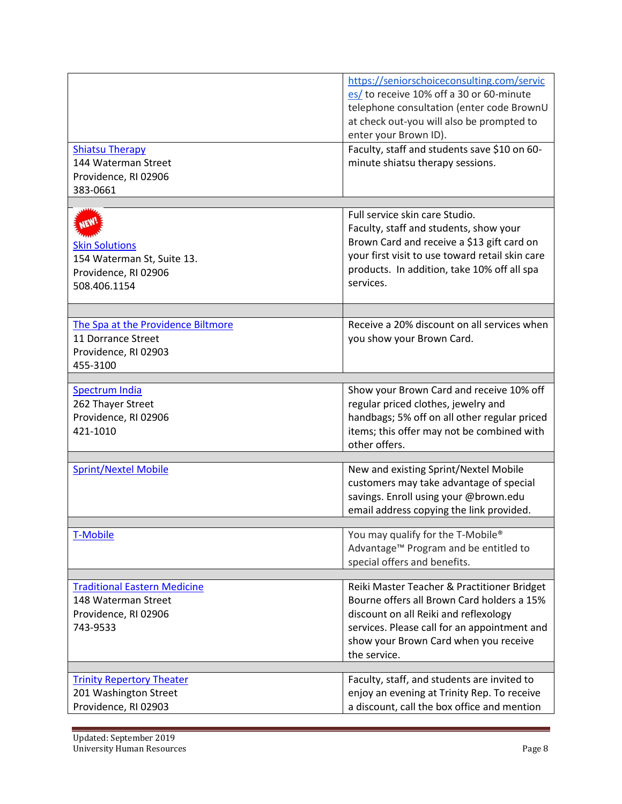|                                                                                              | https://seniorschoiceconsulting.com/servic<br>es/ to receive 10% off a 30 or 60-minute<br>telephone consultation (enter code BrownU<br>at check out-you will also be prompted to |
|----------------------------------------------------------------------------------------------|----------------------------------------------------------------------------------------------------------------------------------------------------------------------------------|
|                                                                                              | enter your Brown ID).                                                                                                                                                            |
| <b>Shiatsu Therapy</b><br>144 Waterman Street<br>Providence, RI 02906                        | Faculty, staff and students save \$10 on 60-<br>minute shiatsu therapy sessions.                                                                                                 |
| 383-0661                                                                                     |                                                                                                                                                                                  |
|                                                                                              |                                                                                                                                                                                  |
| <b>Skin Solutions</b>                                                                        | Full service skin care Studio.<br>Faculty, staff and students, show your<br>Brown Card and receive a \$13 gift card on                                                           |
| 154 Waterman St, Suite 13.<br>Providence, RI 02906<br>508.406.1154                           | your first visit to use toward retail skin care<br>products. In addition, take 10% off all spa<br>services.                                                                      |
|                                                                                              |                                                                                                                                                                                  |
| The Spa at the Providence Biltmore<br>11 Dorrance Street<br>Providence, RI 02903<br>455-3100 | Receive a 20% discount on all services when<br>you show your Brown Card.                                                                                                         |
| Spectrum India                                                                               | Show your Brown Card and receive 10% off                                                                                                                                         |
| 262 Thayer Street<br>Providence, RI 02906<br>421-1010                                        | regular priced clothes, jewelry and<br>handbags; 5% off on all other regular priced<br>items; this offer may not be combined with<br>other offers.                               |
| <b>Sprint/Nextel Mobile</b>                                                                  | New and existing Sprint/Nextel Mobile                                                                                                                                            |
|                                                                                              | customers may take advantage of special<br>savings. Enroll using your @brown.edu<br>email address copying the link provided.                                                     |
| T-Mobile                                                                                     | You may qualify for the T-Mobile®<br>Advantage™ Program and be entitled to<br>special offers and benefits.                                                                       |
| <b>Traditional Eastern Medicine</b>                                                          | Reiki Master Teacher & Practitioner Bridget                                                                                                                                      |
| 148 Waterman Street                                                                          | Bourne offers all Brown Card holders a 15%                                                                                                                                       |
| Providence, RI 02906                                                                         | discount on all Reiki and reflexology                                                                                                                                            |
| 743-9533                                                                                     | services. Please call for an appointment and<br>show your Brown Card when you receive<br>the service.                                                                            |
|                                                                                              |                                                                                                                                                                                  |
| <b>Trinity Repertory Theater</b><br>201 Washington Street<br>Providence, RI 02903            | Faculty, staff, and students are invited to<br>enjoy an evening at Trinity Rep. To receive<br>a discount, call the box office and mention                                        |
|                                                                                              |                                                                                                                                                                                  |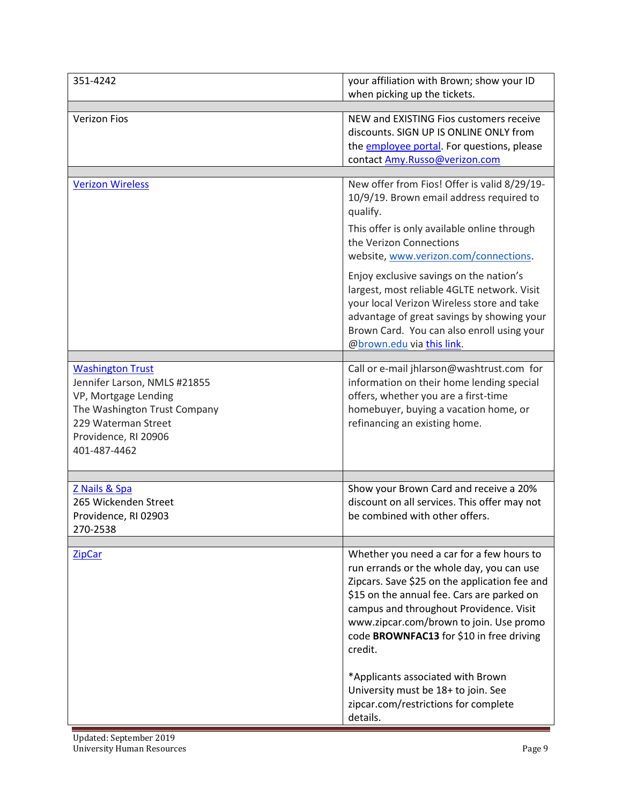| 351-4242                                                                                                                                                                       | your affiliation with Brown; show your ID<br>when picking up the tickets.                                                                                                                                                                                                                                                                                                                                                                                          |
|--------------------------------------------------------------------------------------------------------------------------------------------------------------------------------|--------------------------------------------------------------------------------------------------------------------------------------------------------------------------------------------------------------------------------------------------------------------------------------------------------------------------------------------------------------------------------------------------------------------------------------------------------------------|
| <b>Verizon Fios</b>                                                                                                                                                            | NEW and EXISTING Fios customers receive<br>discounts. SIGN UP IS ONLINE ONLY from<br>the <b>employee portal</b> . For questions, please<br>contact Amy.Russo@verizon.com                                                                                                                                                                                                                                                                                           |
| <b>Verizon Wireless</b>                                                                                                                                                        | New offer from Fios! Offer is valid 8/29/19-<br>10/9/19. Brown email address required to<br>qualify.                                                                                                                                                                                                                                                                                                                                                               |
|                                                                                                                                                                                | This offer is only available online through<br>the Verizon Connections<br>website, www.verizon.com/connections.                                                                                                                                                                                                                                                                                                                                                    |
|                                                                                                                                                                                | Enjoy exclusive savings on the nation's<br>largest, most reliable 4GLTE network. Visit<br>your local Verizon Wireless store and take<br>advantage of great savings by showing your<br>Brown Card. You can also enroll using your<br>@brown.edu via this link.                                                                                                                                                                                                      |
| <b>Washington Trust</b><br>Jennifer Larson, NMLS #21855<br>VP, Mortgage Lending<br>The Washington Trust Company<br>229 Waterman Street<br>Providence, RI 20906<br>401-487-4462 | Call or e-mail jhlarson@washtrust.com for<br>information on their home lending special<br>offers, whether you are a first-time<br>homebuyer, buying a vacation home, or<br>refinancing an existing home.                                                                                                                                                                                                                                                           |
| Z Nails & Spa<br>265 Wickenden Street<br>Providence, RI 02903<br>270-2538                                                                                                      | Show your Brown Card and receive a 20%<br>discount on all services. This offer may not<br>be combined with other offers.                                                                                                                                                                                                                                                                                                                                           |
| <b>ZipCar</b>                                                                                                                                                                  | Whether you need a car for a few hours to<br>run errands or the whole day, you can use<br>Zipcars. Save \$25 on the application fee and<br>\$15 on the annual fee. Cars are parked on<br>campus and throughout Providence. Visit<br>www.zipcar.com/brown to join. Use promo<br>code BROWNFAC13 for \$10 in free driving<br>credit.<br>*Applicants associated with Brown<br>University must be 18+ to join. See<br>zipcar.com/restrictions for complete<br>details. |